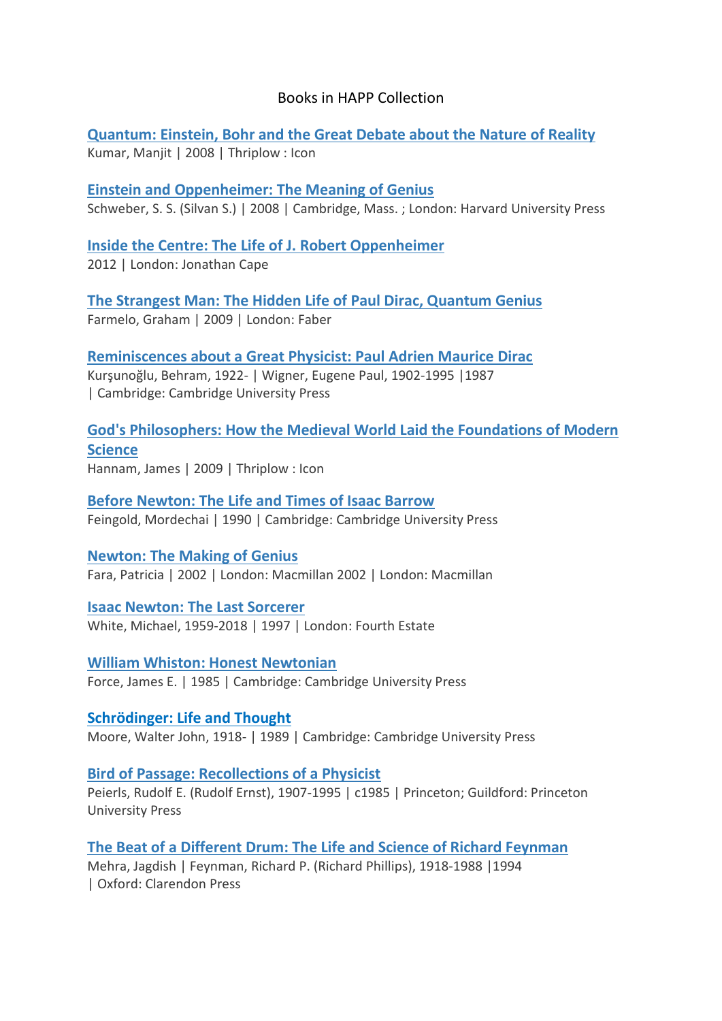### Books in HAPP Collection

**Quantum: Einstein, Bohr [and the Great Debate about the Nature of Reality](http://solo.bodleian.ox.ac.uk/primo-explore/fulldisplay?docid=oxfaleph016957600&context=L&vid=SOLO&lang=en_US&search_scope=LSCOP_STX&adaptor=Local%20Search%20Engine&isFrbr=true&tab=local&query=any,contains,quantum%20kumar&offset=0)** Kumar, Manjit | 2008 | Thriplow : Icon

# **[Einstein and Oppenheimer: The Meaning of Genius](http://solo.bodleian.ox.ac.uk/primo-explore/fulldisplay?docid=oxfaleph016693211&context=L&vid=SOLO&lang=en_US&search_scope=LSCOP_STX&adaptor=Local%20Search%20Engine&isFrbr=true&tab=local&query=any,contains,einstein%20and%20oppenheimer&sortby=rank&facet=frbrgroupid,include,239712030&offset=0)**

Schweber, S. S. (Silvan S.) | 2008 | Cambridge, Mass. ; London: Harvard University Press

# **Inside the [Centre: The Life of J. Robert Oppenheimer](http://solo.bodleian.ox.ac.uk/primo-explore/fulldisplay?docid=oxfaleph019405313&context=L&vid=SOLO&lang=en_US&search_scope=LSCOP_STX&adaptor=Local%20Search%20Engine&tab=local&query=any,contains,inside%20centre%20monk&offset=0)**

2012 | London: Jonathan Cape 

**The [Strangest Man: The Hidden Life of Paul Dirac, Quantum Genius](http://solo.bodleian.ox.ac.uk/primo-explore/fulldisplay?docid=oxfaleph016927606&context=L&vid=SOLO&lang=en_US&search_scope=LSCOP_STX&adaptor=Local%20Search%20Engine&isFrbr=true&tab=local&query=any,contains,strangest%20man%20farmelo&offset=0)** Farmelo, Graham | 2009 | London: Faber

**Reminiscences about a Great P[hysicist: Paul Adrien Maurice Dirac](http://solo.bodleian.ox.ac.uk/primo-explore/fulldisplay?docid=oxfaleph010825045&context=L&vid=SOLO&lang=en_US&search_scope=LSCOP_ALL&adaptor=Local%20Search%20Engine&tab=local&query=any,contains,dirac%20paul%20maurice&offset=0%22%20%EF%BF%BDHYPERLINK%20%22http://solo.bodleian.ox.ac.uk/primo-explore/fulldisplay?docid=oxfaleph010825045&context=L&vid=SOLO&lang=en_US&search_scope=LSCOP_ALL&adaptor=Local%20Search%20Engine&tab=local&query=any,contains,dirac%20paul%20maurice&offset=0)** Kurşunoğlu, Behram, 1922- | Wigner, Eugene Paul, 1902-1995 |1987 | Cambridge: Cambridge University Press

### **[God's Philosophers: How the Medieval World Laid the Foundations of Modern](http://solo.bodleian.ox.ac.uk/primo-explore/fulldisplay?docid=oxfaleph017017939&context=L&vid=SOLO&lang=en_US&search_scope=LSCOP_STX&adaptor=Local%20Search%20Engine&isFrbr=true&tab=local&query=any,contains,god%27s%20philosophers&offset=0)  [Science](http://solo.bodleian.ox.ac.uk/primo-explore/fulldisplay?docid=oxfaleph017017939&context=L&vid=SOLO&lang=en_US&search_scope=LSCOP_STX&adaptor=Local%20Search%20Engine&isFrbr=true&tab=local&query=any,contains,god%27s%20philosophers&offset=0)**

Hannam, James | 2009 | Thriplow : Icon

**[Before Newton: The Life and Times of Isaac Barrow](http://solo.bodleian.ox.ac.uk/primo-explore/fulldisplay?docid=oxfaleph010448224&context=L&vid=SOLO&lang=en_US&search_scope=LSCOP_STX&adaptor=Local%20Search%20Engine&isFrbr=true&tab=local&query=any,contains,feingold%20before%20newton&sortby=rank&facet=frbrgroupid,include,233851932&offset=0)** Feingold, Mordechai | 1990 | Cambridge: Cambridge University Press

**[Newton: The Making of Genius](http://solo.bodleian.ox.ac.uk/primo-explore/fulldisplay?docid=oxfaleph015361026&context=L&vid=SOLO&lang=en_US&search_scope=LSCOP_STX&adaptor=Local%20Search%20Engine&isFrbr=true&tab=local&query=any,contains,newton%20fara&offset=0)** Fara, Patricia | 2002 | London: Macmillan 2002 | London: Macmillan

**[Isaac Newton: The Last Sorcerer](http://solo.bodleian.ox.ac.uk/primo-explore/fulldisplay?docid=oxfaleph012925284&context=L&vid=SOLO&lang=en_US&search_scope=LSCOP_STX&adaptor=Local%20Search%20Engine&tab=local&query=any,contains,isaac%20newton%20white&offset=0)** White, Michael, 1959-2018 | 1997 | London: Fourth Estate

**[William Whiston: Honest Newtonian](http://solo.bodleian.ox.ac.uk/primo-explore/fulldisplay?docid=oxfaleph010777106&context=L&vid=SOLO&lang=en_US&search_scope=LSCOP_STX&adaptor=Local%20Search%20Engine&tab=local&query=any,contains,william%20whiston&facet=tlevel,include,physical_item&offset=0)** Force, James E. | 1985 | Cambridge: Cambridge University Press

**[Schrödinger: Life and Thought](https://solo.bodleian.ox.ac.uk/primo-explore/fulldisplay?docid=oxfaleph010234027&context=L&vid=SOLO&lang=en_US&search_scope=LSCOP_STX&adaptor=Local%20Search%20Engine&isFrbr=true&tab=local&query=any,contains,Schr%C3%B6dinger%E2%80%AF:%E2%80%AFlife%E2%80%AFand%E2%80%AFthought&sortby=rank&facet=frbrgroupid,include,233569079&offset=0)** Moore, Walter John, 1918- | 1989 | Cambridge: Cambridge University Press

**Bird of [Passage: Recollections of a Physicist](http://solo.bodleian.ox.ac.uk/primo-explore/fulldisplay?docid=oxfaleph010007487&context=L&vid=SOLO&lang=en_US&search_scope=LSCOP_STX&adaptor=Local%20Search%20Engine&isFrbr=true&tab=local&query=any,contains,bird%20passage&sortby=rank&facet=frbrgroupid,include,233590866&offset=0%22%20%EF%BF%BDHYPERLINK%20%22http://solo.bodleian.ox.ac.uk/primo-explore/fulldisplay?docid=oxfaleph010007487&context=L&vid=SOLO&lang=en_US&search_scope=LSCOP_STX&adaptor=Local%20Search%20Engine&isFrbr=true&tab=local&query=any,contains,bird%20passage&sortby=rank&facet=frbrgroupid,include,233590866&offset=0)**

Peierls, Rudolf E. (Rudolf Ernst), 1907-1995 | c1985 | Princeton; Guildford: Princeton University Press

### **The Beat of a [Different Drum: The Life and Science of Richard Feynman](http://solo.bodleian.ox.ac.uk/primo-explore/fulldisplay?docid=oxfaleph010964751&context=L&vid=SOLO&lang=en_US&search_scope=LSCOP_STX&adaptor=Local%20Search%20Engine&isFrbr=true&tab=local&query=any,contains,beat%20different%20drum&offset=0%22%20%EF%BF%BDHYPERLINK%20%22http://solo.bodleian.ox.ac.uk/primo-explore/fulldisplay?docid=oxfaleph010964751&context=L&vid=SOLO&lang=en_US&search_scope=LSCOP_STX&adaptor=Local%20Search%20Engine&isFrbr=true&tab=local&query=any,contains,beat%20different%20drum&offset=0)**

Mehra, Jagdish | Feynman, Richard P. (Richard Phillips), 1918-1988 |1994 | Oxford: Clarendon Press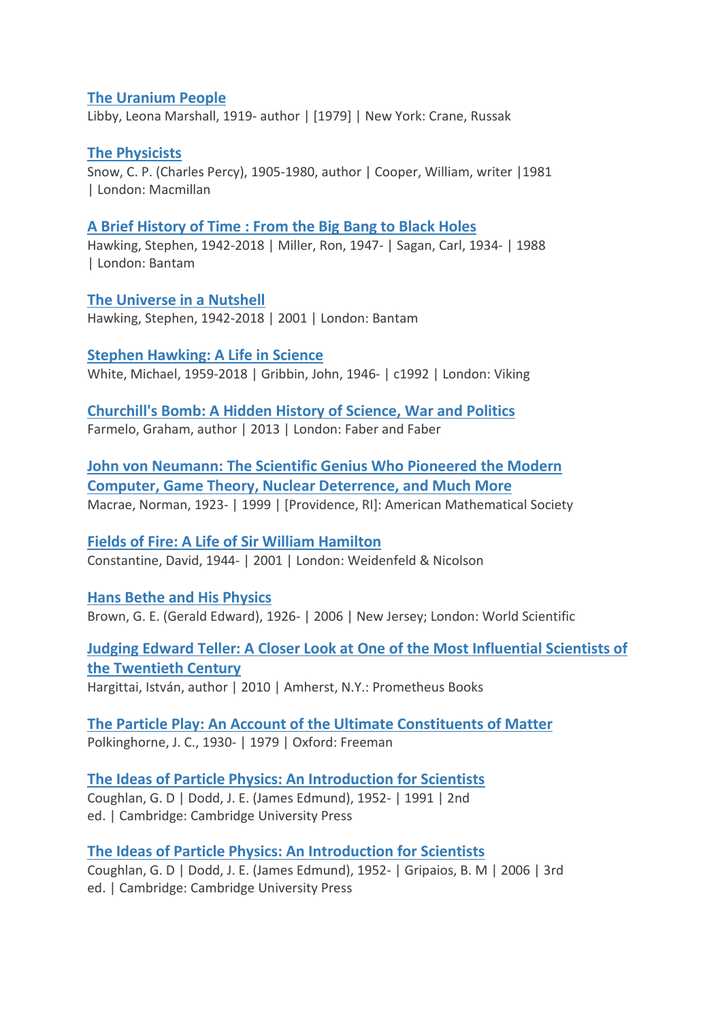### **The [Uranium People](http://solo.bodleian.ox.ac.uk/primo-explore/fulldisplay?docid=oxfaleph011857779&context=L&vid=SOLO&lang=en_US&search_scope=LSCOP_STX&adaptor=Local%20Search%20Engine&tab=local&query=any,contains,uranium%20people&offset=0)**

Libby, Leona Marshall, 1919- author | [1979] | New York: Crane, Russak

### **The [Physicists](http://solo.bodleian.ox.ac.uk/primo-explore/fulldisplay?docid=oxfaleph012994659&context=L&vid=SOLO&lang=en_US&search_scope=LSCOP_STX&adaptor=Local%20Search%20Engine&tab=local&query=any,contains,snow%20physicists&offset=0)**

Snow, C. P. (Charles Percy), 1905-1980, author | Cooper, William, writer |1981 | London: Macmillan

#### **A Brief History of Time : [From the Big Bang to Black Holes](http://solo.bodleian.ox.ac.uk/primo-explore/fulldisplay?docid=oxfaleph010005125&context=L&vid=SOLO&lang=en_US&search_scope=LSCOP_STX&adaptor=Local%20Search%20Engine&isFrbr=true&tab=local&query=any,contains,brief%20history%20time%201988&offset=0)**

Hawking, Stephen, 1942-2018 | Miller, Ron, 1947- | Sagan, Carl, 1934- | 1988 | London: Bantam

**The U[niverse in a](http://solo.bodleian.ox.ac.uk/primo-explore/fulldisplay?docid=oxfaleph015221066&context=L&vid=SOLO&lang=en_US&search_scope=LSCOP_STX&adaptor=Local%20Search%20Engine&tab=local&query=any,contains,universe%20nutshall&offset=0)Nutshell** Hawking, Stephen, 1942-2018 | 2001 | London: Bantam

**[Stephen Hawking:](http://solo.bodleian.ox.ac.uk/primo-explore/fulldisplay?docid=oxfaleph010580332&context=L&vid=SOLO&lang=en_US&search_scope=LSCOP_STX&adaptor=Local%20Search%20Engine&isFrbr=true&tab=local&query=any,contains,stephen%20hawking%20white&sortby=rank&facet=frbrgroupid,include,413416103&offset=0%22%20%EF%BF%BDHYPERLINK%20%22http://solo.bodleian.ox.ac.uk/primo-explore/fulldisplay?docid=oxfaleph010580332&context=L&vid=SOLO&lang=en_US&search_scope=LSCOP_STX&adaptor=Local%20Search%20Engine&isFrbr=true&tab=local&query=any,contains,stephen%20hawking%20white&sortby=rank&facet=frbrgroupid,include,413416103&offset=0) A Life in Science** White, Michael, 1959-2018 | Gribbin, John, 1946- | c1992 | London: Viking

**Churchill's Bomb: A [Hidden History of Science,](http://solo.bodleian.ox.ac.uk/primo-explore/fulldisplay?docid=oxfaleph019570625&context=L&vid=SOLO&lang=en_US&search_scope=LSCOP_STX&adaptor=Local%20Search%20Engine&isFrbr=true&tab=local&query=any,contains,churchills%20bombs&offset=0) War and Politics** Farmelo, Graham, author | 2013 | London: Faber and Faber

**John von Neumann: The Scientific Genius Who Pioneered the Modern Computer, Game Theory, Nuclear Deterrence, and Much More** Macrae, Norman, 1923- | 1999 | [Providence, RI]: American Mathematical Society

**Fields of Fire: A [Life of Sir William Hamilton](http://solo.bodleian.ox.ac.uk/primo-explore/fulldisplay?docid=oxfaleph015072163&context=L&vid=SOLO&lang=en_US&search_scope=LSCOP_STX&adaptor=Local%20Search%20Engine&isFrbr=true&tab=local&query=any,contains,fields%20fire%20constantine&offset=0)** Constantine, David, 1944- | 2001 | London: Weidenfeld & Nicolson

**[Hans Bethe and](http://solo.bodleian.ox.ac.uk/primo-explore/fulldisplay?docid=oxfaleph016232274&context=L&vid=SOLO&lang=en_US&search_scope=LSCOP_STX&adaptor=Local%20Search%20Engine&isFrbr=true&tab=local&query=any,contains,bethe%20physics&sortby=rank&facet=frbrgroupid,include,239185528&offset=0) His Physics** Brown, G. E. (Gerald Edward), 1926- | 2006 | New Jersey; London: World Scientific

## **Judging Edward Teller: A [Closer Look at One of the Most Influential Scientists of](http://solo.bodleian.ox.ac.uk/primo-explore/fulldisplay?docid=oxfaleph021061465&context=L&vid=SOLO&lang=en_US&search_scope=LSCOP_STX&adaptor=Local%20Search%20Engine&tab=local&query=any,contains,judging%20teller&offset=0%22%20%EF%BF%BDHYPERLINK%20%22http://solo.bodleian.ox.ac.uk/primo-explore/fulldisplay?docid=oxfaleph021061465&context=L&vid=SOLO&lang=en_US&search_scope=LSCOP_STX&adaptor=Local%20Search%20Engine&tab=local&query=any,contains,judging%20teller&offset=0)  [the Twentieth Century](http://solo.bodleian.ox.ac.uk/primo-explore/fulldisplay?docid=oxfaleph021061465&context=L&vid=SOLO&lang=en_US&search_scope=LSCOP_STX&adaptor=Local%20Search%20Engine&tab=local&query=any,contains,judging%20teller&offset=0%22%20%EF%BF%BDHYPERLINK%20%22http://solo.bodleian.ox.ac.uk/primo-explore/fulldisplay?docid=oxfaleph021061465&context=L&vid=SOLO&lang=en_US&search_scope=LSCOP_STX&adaptor=Local%20Search%20Engine&tab=local&query=any,contains,judging%20teller&offset=0)**

Hargittai, István, author | 2010 | Amherst, N.Y.: Prometheus Books

**The Particle Play: An Account of the Ultimate Constituents of Matter** Polkinghorne, J. C., 1930- | 1979 | Oxford: Freeman

**The Ideas of Particle Physics: A[n Introduction for Scientists](http://solo.bodleian.ox.ac.uk/primo-explore/fulldisplay?docid=oxfaleph010518684&context=L&vid=SOLO&lang=en_US&search_scope=LSCOP_STX&adaptor=Local%20Search%20Engine&isFrbr=true&tab=local&query=any,contains,ideas%20particles%20physics&sortby=rank&facet=frbrgroupid,include,233922224&offset=0)** Coughlan, G. D | Dodd, J. E. (James Edmund), 1952- | 1991 | 2nd

ed. | Cambridge: Cambridge University Press

### **The Ideas of Particle Physics: A[n Introduction for Scientists](http://solo.bodleian.ox.ac.uk/primo-explore/fulldisplay?docid=oxfaleph016235635&context=L&vid=SOLO&lang=en_US&search_scope=LSCOP_STX&adaptor=Local%20Search%20Engine&isFrbr=true&tab=local&query=any,contains,ideas%20particle%20physics&sortby=rank&facet=frbrgroupid,include,233922224&offset=0)**

Coughlan, G. D | Dodd, J. E. (James Edmund), 1952- | Gripaios, B. M | 2006 | 3rd ed. | Cambridge: Cambridge University Press